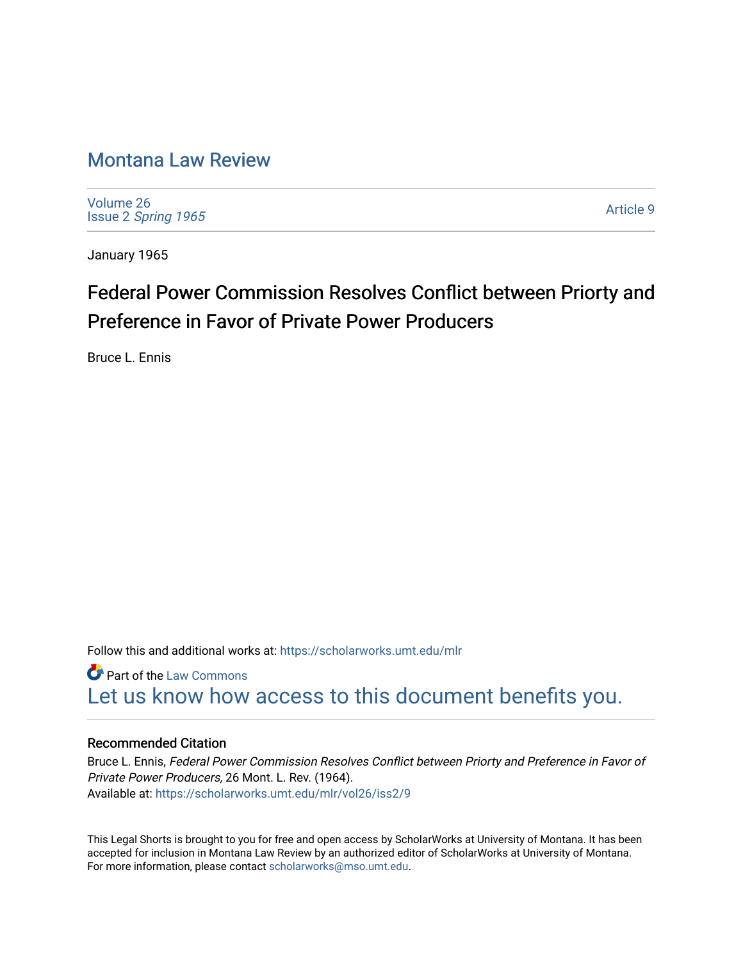## [Montana Law Review](https://scholarworks.umt.edu/mlr)

[Volume 26](https://scholarworks.umt.edu/mlr/vol26) Issue 2 [Spring 1965](https://scholarworks.umt.edu/mlr/vol26/iss2) 

[Article 9](https://scholarworks.umt.edu/mlr/vol26/iss2/9) 

January 1965

# Federal Power Commission Resolves Conflict between Priorty and Preference in Favor of Private Power Producers

Bruce L. Ennis

Follow this and additional works at: [https://scholarworks.umt.edu/mlr](https://scholarworks.umt.edu/mlr?utm_source=scholarworks.umt.edu%2Fmlr%2Fvol26%2Fiss2%2F9&utm_medium=PDF&utm_campaign=PDFCoverPages) 

**Part of the [Law Commons](http://network.bepress.com/hgg/discipline/578?utm_source=scholarworks.umt.edu%2Fmlr%2Fvol26%2Fiss2%2F9&utm_medium=PDF&utm_campaign=PDFCoverPages)** [Let us know how access to this document benefits you.](https://goo.gl/forms/s2rGfXOLzz71qgsB2) 

## Recommended Citation

Bruce L. Ennis, Federal Power Commission Resolves Conflict between Priorty and Preference in Favor of Private Power Producers, 26 Mont. L. Rev. (1964). Available at: [https://scholarworks.umt.edu/mlr/vol26/iss2/9](https://scholarworks.umt.edu/mlr/vol26/iss2/9?utm_source=scholarworks.umt.edu%2Fmlr%2Fvol26%2Fiss2%2F9&utm_medium=PDF&utm_campaign=PDFCoverPages) 

This Legal Shorts is brought to you for free and open access by ScholarWorks at University of Montana. It has been accepted for inclusion in Montana Law Review by an authorized editor of ScholarWorks at University of Montana. For more information, please contact [scholarworks@mso.umt.edu.](mailto:scholarworks@mso.umt.edu)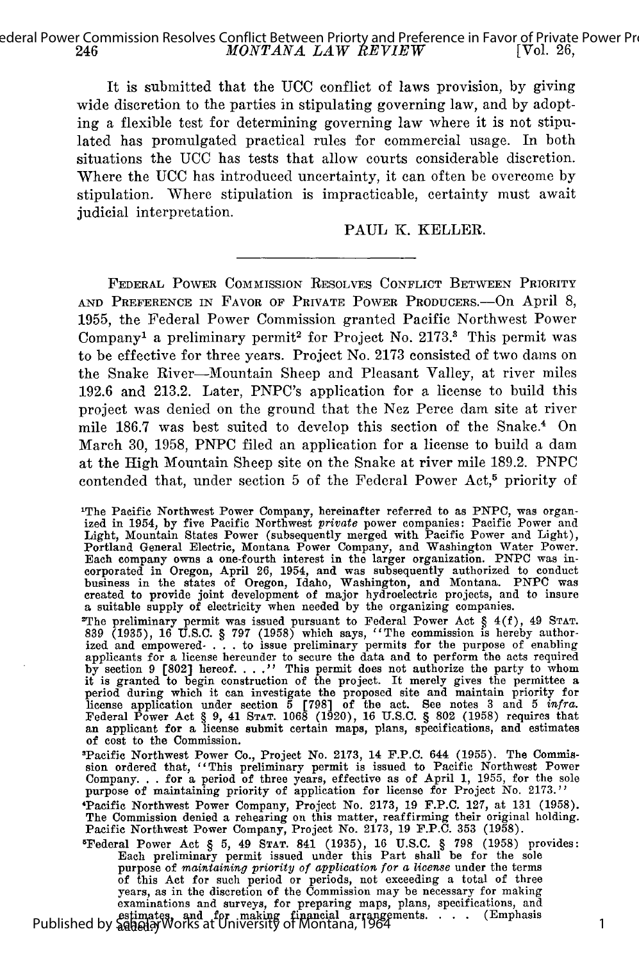*MONTANA LAW REVIEW* [Vol. *26,* ederal Power Commission Resolves Conflict Between Priorty and Preference in Favor of Private Power Pr<br>246 MONTANA LAW REVIEW [Vol. 26.

> It is submitted that the UCC conflict of laws provision, by giving wide discretion to the parties in stipulating governing law, and by adopting a flexible test for determining governing law where it is not stipulated has promulgated practical rules for commercial usage. In both situations the UCC has tests that allow courts considerable discretion. Where the UCC has introduced uncertainty, it can often be overcome by stipulation. Where stipulation is impracticable, certainty must await judicial interpretation.

> > PAUL K. KELLER.

FEDERAL POWER COMMISSION RESOLVES CONFLICT BETWEEN PRIORITY AND PREFERENCE IN FAVOR OF PRIVATE POWER PRODUCERS.-- On April 8, 1955, the Federal Power Commission granted Pacific Northwest Power Company<sup>1</sup> a preliminary permit<sup>2</sup> for Project No. 2173.<sup>3</sup> This permit was to be effective for three years. Project No. 2173 consisted of two dams on the Snake River-Mountain Sheep and Pleasant Valley, at river miles 192.6 and 213.2. Later, PNPC's application for a license to build this project was denied on the ground that the Nez Perce dam site at river mile 186.7 was best suited to develop this section of the Snake.4 On March 30, 1958, PNPC filed an application for a license to build a dam at the High Mountain Sheep site on the Snake at river mile 189.2. PNPC contended that, under section 5 of the Federal Power Act,<sup>5</sup> priority of

'The Pacific Northwest Power Company, hereinafter referred to as **PNPC,** was organ-ized in 1954, by five Pacific Northwest *private* power companies: Pacific Power and Light, Mountain States Power (subsequently merged with Pacific Power and Light)<br>Portland General Electric, Montana Power Company, and Washington Water Power.<br>Each company owns a one-fourth interest in the larger organizati corporated in Oregon, April 26, 1954, and was subsequently authorized to conduct business in the states of Oregon, Idaho, Washington, and Montana. PNPC was created to provide joint development of major hydroelectric projects, and to insure a suitable supply of electricity when needed by the organizing companies.

The preliminary permit was issued pursuant to Federal Power Act  $\S 4(f)$ , 49 STAT 839 (1935), 16 U.S.C.  $\S 797$  (1958) which says, "The commission is hereby authorized and empowered... to issue preliminary permits for the applicants for a license hereunder to secure the data and to perform the acts required by section 9 [802] hereof. . . **."** This permit does not authorize the party to whom it is granted to begin construction of the project. It merely gives the permittee a period during which it can investigate the proposed site and maintain priority for license application under section 5 [798] of the act. See notes 3 and **5** *infra.* Federal Power Act § 9, 41 STAT. 1068 (1920), 16 U.S.C. § 802 (1958) requires that an applicant for a license submit certain maps, plans, specifications, and estimates of cost to the Commission.

'Pacific Northwest Power Co., Project No. 2173, 14 F.P.C. 644 (1955). The Commis-sion ordered that, "This preliminary permit is issued to Pacific Northwest Power Company. **.** . for a period of three years, effective as of April 1, 1955, for the sole purpose of maintaining priority of application for license for Project No. 2173."'

'Pacific Northwest Power Company, Project No. 2173, 19 F.P.C. 127, at 131 (1958). The Commission denied a rehearing on this matter, reaffirming their original holding. Pacific Northwest Power Company, Project No. 2173, 19 F.P.C. 353 (1958).<br>5 April 10 Metal Company, Project No. 2173, 19 F.P.C. 353 (1958).

Federal Power Act § 5, 49 STAT. 841 (1935), 16 U.S.C. § 798 (1958) provides<br>Each preliminary permit issued under this Part shall be for the sole<br>purpose of maintaining priority of application for a license under the terms of this Act for such period or periods, not exceeding a total of three years, as in the discretion of the Commission may be necessary for making examinations and surveys, for preparing maps, plans, specifications, and estimates, and for making financial arrangements. . **.** . (Emphasis Published by Scholar Works at University of Montana, 1964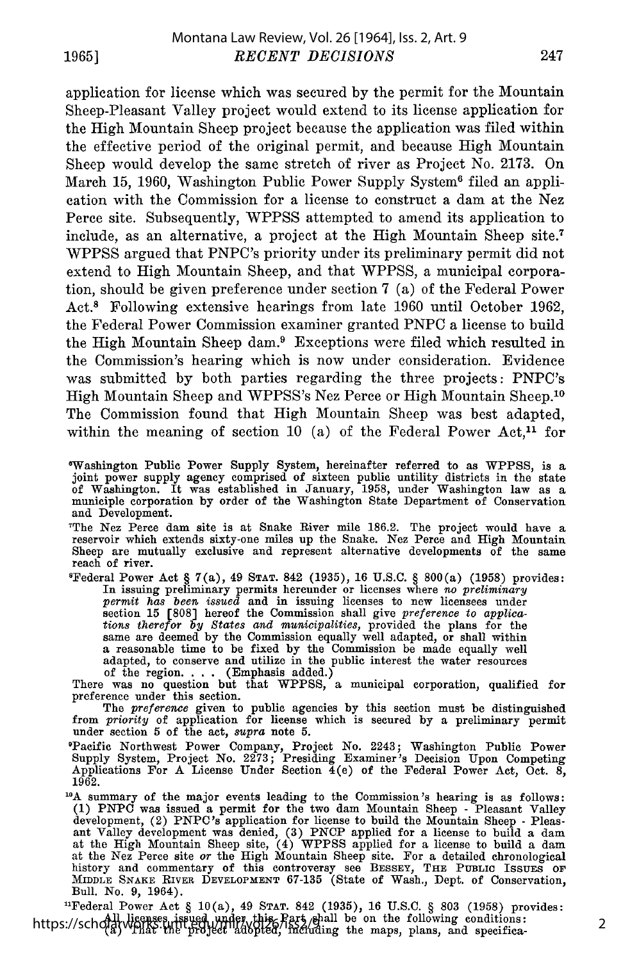application for license which was secured by the permit for the Mountain Sheep-Pleasant Valley project would extend to its license application for the High Mountain Sheep project because the application was filed within the effective period of the original permit, and because High Mountain Sheep would develop the same stretch of river as Project No. 2173. On March 15, 1960, Washington Public Power Supply System<sup>6</sup> filed an application with the Commission for a license to construct a dam at the Nez Perce site. Subsequently, WPPSS attempted to amend its application to include, as an alternative, a project at the High Mountain Sheep site.7 WPPSS argued that PNPC's priority under its preliminary permit did not extend to High Mountain Sheep, and that WPPSS, a municipal corporation, should be given preference under section 7 (a) of the Federal Power Act.8 Following extensive hearings from late 1960 until October 1962, the Federal Power Commission examiner granted PNPC a license to build the High Mountain Sheep dam.<sup>9</sup> Exceptions were filed which resulted in the Commission's hearing which is now under consideration. Evidence was submitted by both parties regarding the three projects: PNPC's High Mountain Sheep and WPPSS's Nez Perce or High Mountain Sheep.<sup>10</sup> The Commission found that High Mountain Sheep was best adapted, within the meaning of section 10 (a) of the Federal Power  $Act^{11}$  for

GWashington Public Power Supply System, hereinafter referred to as WPPSS, is a joint power supply agency comprised of sixteen public untility districts in the state of Washington. It was established in January, **1958,** under Washington law as a municiple corporation **by** order of the Washington State Department of Conservation

and Development. 7The Nez Perce dam site is at Snake River mile **186.2.** The project would have a reservoir which extends sixty-one miles up the Snake. Nez Perce and High Mountain Sheep are mutually exclusive and represent alternative developments of the same reach of river.

'Federal Power Act § 7(a), 49 **STAT.** 842 **(1935), 16 U.S.C.** § 800(a) **(1958)** provides: In issuing preliminary permits hereunder or licenses where *no preliminary permit has been issued* and in issuing licenses to new licensees under section **15 [808]** hereof the Commission shall give *preference to applica-tions therefor by States and municipalities,* provided the plans for the same are deemed by the Commission equally well adapted, or shall within a reasonable time to be fixed by the Commission be made equally well adapted, to conserve and utilize in the public interest the water resources of the region. . **.** . (Emphasis added.)

There was no question but that WPPSS, a municipal corporation, qualified for preference under this section.

The *preference* given to public agencies by this section must be distinguished<br>from *priority* of application for license which is secured by a preliminary permit under section **5** of the act, *supra* note 5.

"Pacific Northwest Power Company, Project No. 2243; Washington Public Power<br>Supply System, Project No. 2273; Presiding Examiner's Decision Upon Competing<br>Applications For A License Under Section 4(e) of the Federal Power A 1962.

**" 0A** summary of the major events leading to the Commission's hearing is as follows: (1) **PNPC** was issued a permit for the two dam Mountain Sheep - Pleasant Valley development, (2) PNPC's application for license to build the Mountain Sheep - Pleas-<br>ant Valley development was denied, (3) PNCP applied for a license to build a dam<br>at the High Mountain Sheep site, (4) WPPSS applied for a MIDDLE **SNAKE** RivER DEVELOPMENT 67-135 (State of Wash., Dept. of Conservation, Bull. No. 9, 1964).

<sup>11</sup>Federal Power Act § 10(a), 49 STAT. 842 (1935), 16 U.S.C. § 803 (1958) provides:<br>https://scholall.licenses.issued.under.this Part shall be on the following conditions:<br>https://scholal.ing.the project adopted, including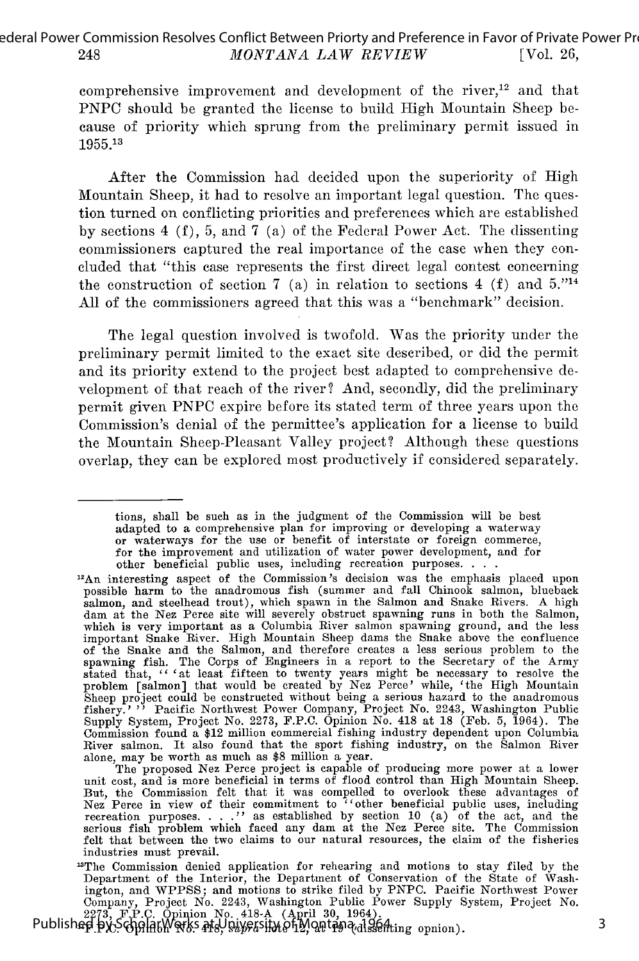#### ederal Power Commission Resolves Conflict Between Priorty and Preference in Favor of Private Power Pr *MONTANA LAW REVIEW* 248 [Vol. *26,*

comprehensive improvement and development of the river, $12$  and that PNPC should be granted the license to build High Mountain Sheep because of priority which sprung from the preliminary permit issued in **1955.13**

After the Commission had decided upon the superiority of High Mountain Sheep, it had to resolve an important legal question. The question turned on conflicting priorities and preferences which are established by sections 4 (f), 5, and 7 (a) of the Federal Power Act. The dissenting commissioners captured the real importance of the case when they concluded that "this case represents the first direct legal contest concerning the construction of section 7 (a) in relation to sections 4 (f) and  $5.^{n_{14}}$ All of the commissioners agreed that this was a "benchmark" decision.

The legal question involved is twofold. Was the priority under the preliminary permit limited to the exact site described, or did the permit and its priority extend to the project best adapted to comprehensive development of that reach of the river? And, secondly, did the preliminary permit given PNPC expire before its stated term of three years upon the Commission's denial of the permittee's application for a license to build the Mountain Sheep-Pleasant Valley project? Although these questions overlap, they can be explored most productively if considered separately.

Published by ScholarWorks at University of Montana, 1964 ting opnion)

tions, shall be such as in the judgment of the Commission will be best adapted to a comprehensive plan for improving or developing a waterway or waterways for the use or benefit of interstate or foreign commerce, for the improvement and utilization of water power development, and for other beneficial public uses, including recreation purposes **...**

<sup>&</sup>lt;sup>12</sup>An interesting aspect of the Commission's decision was the emphasis placed upon possible harm to the anadromous fish (summer and fall Chinook salmon, blueback salmon, and steelhead trout), which spawn in the Salmon and Snake Rivers. A high dam at the Nez Perce site will severely obstruct spawning runs in both the Salmon, which is very important as a Columbia River salmon spawning ground, and the less important Snake River. High Mountain Sheep dams the Snake above the confluence of the Snake and the Salmon, and therefore creates a less serious problem to the spawning fish. The Corps of Engineers in a report to the Secretary of the Army stated that, " <sup>at</sup> least fifteen to twenty years might be necessary to resolve the problem [salmon] that would be created by Nez Perce' while, 'the High Mountain Sheep project could be constructed without being a serious hazard to the anadromous fishery.'' Pacific Northwest Power Company, Project No. 2243, Washington Public Supply System, Project No. 2273, F.P.C. Opinion No. 418 at Commission found a \$12 million commercial fishing industry dependent upon Columbia River salmon. It also found that the sport fishing industry, on the Salmon River alone, may be worth as much as \$8 million a year.<br>The proposed Nez Perce project is capable of producing more power at a lower

unit cost, and is more beneficial in terms of flood control than High Mountain Sheep<br>But, the Commission felt that it was compelled to overlook these advantages of<br>Nez Perce in view of their commitment to "other beneficia serious fish problem which faced any dam at the Nez Perce site. The Commission felt that between the two claims to our natural resources, the claim of the fisheries industries must prevail.

<sup>&</sup>lt;sup>13</sup>The Commission denied application for rehearing and motions to stay filed by the Department of the Interior, the Department of Conservation of the State of Washington, and WPPSS; and motions to strike filed by PNPC. P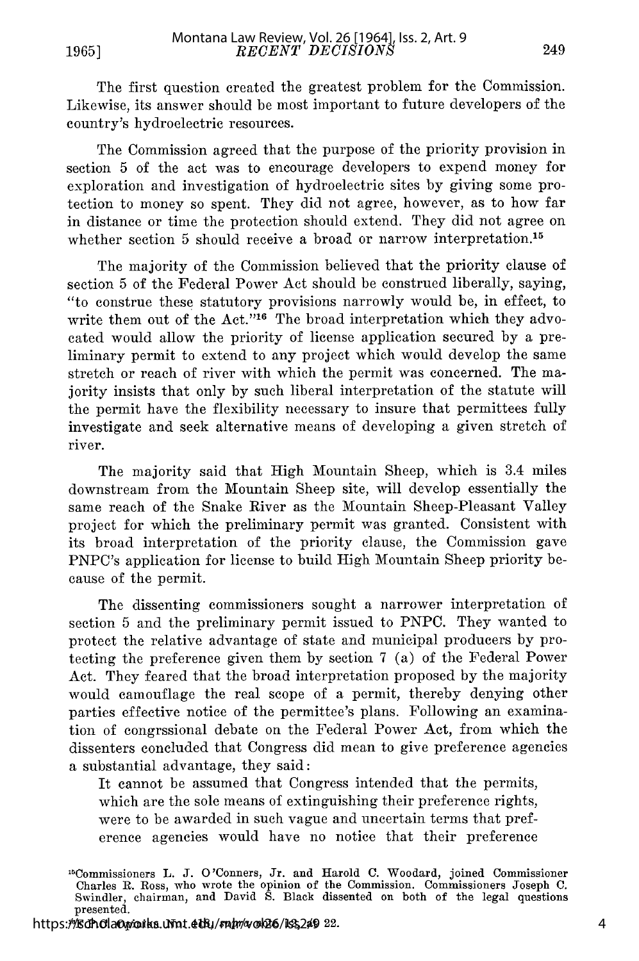The first question created the greatest problem for the Commission. Likewise, its answer should be most important to future developers of the country's hydroelectric resources.

The Commission agreed that the purpose of the priority provision in section 5 of the act was to encourage developers to expend money for exploration and investigation of hydroelectric sites by giving some protection to money so spent. They did not agree, however, as to how far in distance or time the protection should extend. They did not agree on whether section 5 should receive a broad or narrow interpretation.<sup>15</sup>

The majority of the Commission believed that the priority clause of section 5 of the Federal Power Act should be construed liberally, saying, "to construe these statutory provisions narrowly would be, in effect, to write them out of the Act."<sup>16</sup> The broad interpretation which they advocated would allow the priority of license application secured by a preliminary permit to extend to any project which would develop the same stretch or reach of river with which the permit was concerned. The majority insists that only by such liberal interpretation of the statute will the permit have the flexibility necessary to insure that permittees fully investigate and seek alternative means of developing a given stretch of river.

The majority said that High Mountain Sheep, which is 3.4 miles downstream from the Mountain Sheep site, will develop essentially the same reach of the Snake River as the Mountain Sheep-Pleasant Valley project for which the preliminary permit was granted. Consistent with its broad interpretation of the priority clause, the Commission gave PNPC's application for license to build High Mountain Sheep priority because of the permit.

The dissenting commissioners sought a narrower interpretation of section 5 and the preliminary permit issued to PNPC. They wanted to protect the relative advantage of state and municipal producers by protecting the preference given them by section 7 (a) of the Federal Power Act. They feared that the broad interpretation proposed by the majority would camouflage the real scope of a permit, thereby denying other parties effective notice of the permittee's plans. Following an examination of congrssional debate on the Federal Power Act, from which the dissenters concluded that Congress did mean to give preference agencies a substantial advantage, they said:

It cannot be assumed that Congress intended that the permits, which are the sole means of extinguishing their preference rights, were to be awarded in such vague and uncertain terms that preference agencies would have no notice that their preference

<sup>&</sup>quot;sCommissioners L. J. O'Conners, Jr. and Harold C. Woodard, joined Commissioner Charles **R.** Ross, who wrote the opinion of the Commission. Commissioners Joseph C. Swindler, chairman, and David S. Black dissented on both of the legal questions presented.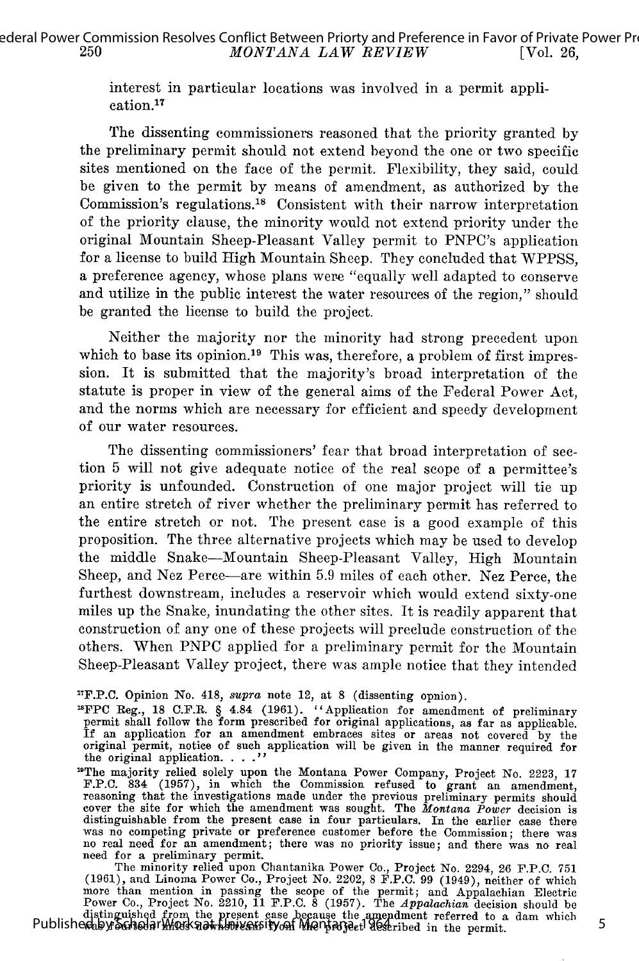interest in particular locations was involved in a permit application. 17

The dissenting commissioners reasoned that the priority granted by the preliminary permit should not extend beyond the one or two specific sites mentioned on the face of the permit. Flexibility, they said, could be given to the permit by means of amendment, as authorized by the Commission's regulations.18 Consistent with their narrow interpretation of the priority clause, the minority would not extend priority under the original Mountain Sheep-Pleasant Valley permit to PNPC's application for a license to build High Mountain Sheep. They concluded that WPPSS, a preference agency, whose plans were "equally well adapted to conserve and utilize in the public interest the water resources of the region," should be granted the license to build the project.

Neither the majority nor the minority had strong precedent upon which to base its opinion.<sup>19</sup> This was, therefore, a problem of first impression. It is submitted that the majority's broad interpretation of the statute is proper in view of the general aims of the Federal Power Act, and the norms which are necessary for efficient and speedy development of our water resources.

The dissenting commissioners' fear that broad interpretation of section 5 will not give adequate notice of the real scope of a permittee's priority is unfounded. Construction of one major project will tie up an entire stretch of river whether the preliminary permit has referred to the entire stretch or not. The present case is a good example of this proposition. The three alternative projects which may be used to develop the middle Snake-Mountain Sheep-Pleasant Valley, High Mountain Sheep, and Nez Perce-are within 5.9 miles of each other. Nez Perce, the furthest downstream, includes a reservoir which would extend sixty-one miles up the Snake, inundating the other sites. It is readily apparent that construction of any one of these projects will preclude construction of the others. When PNPC applied for a preliminary permit for the Mountain Sheep-Pleasant Valley project, there was ample notice that they intended

<sup>17</sup>F.P.C. Opinion No. 418, *supra* note 12, at 8 (dissenting opnion).<br><sup>18</sup>FPC Reg., 18 C.F.R. § 4.84 (1961). "Application for amendment of preliminary

The minority relied upon Chantanika Power Co., Project No. 2294, 26 F.P.C. 751<br>(1961), and Linoma Power Co., Project No. 2202, 8 F.P.C. 99 (1949), neither of which<br>more than mention in passing the scope of the permit; and distinguished from the present case because the amendment referred to a dam which<br>Published by ScholarWorks at the permit.

permit shall follow the form prescribed for original applications, as far as applicable<br>If an application for an amendment embraces sites or areas not covered by the<br>original permit, notice of such application will be give the original application. . . ."

<sup>&</sup>lt;sup>19</sup>The majority relied solely upon the Montana Power Company, Project No. 2223, 1 F.P.C. 334 (1957), in which the Commission refused to grant an amendment<br>reasoning that the investigations made under the previous preliminary permits should<br>cover the site for which the amendment was sought. The Montana P cover the site for which the amendment was sought. The *Montana Power* decision is distinguishable from the present case in four particulars. In the earlier case there was no competing private or preference customer befor need for a preliminary permit.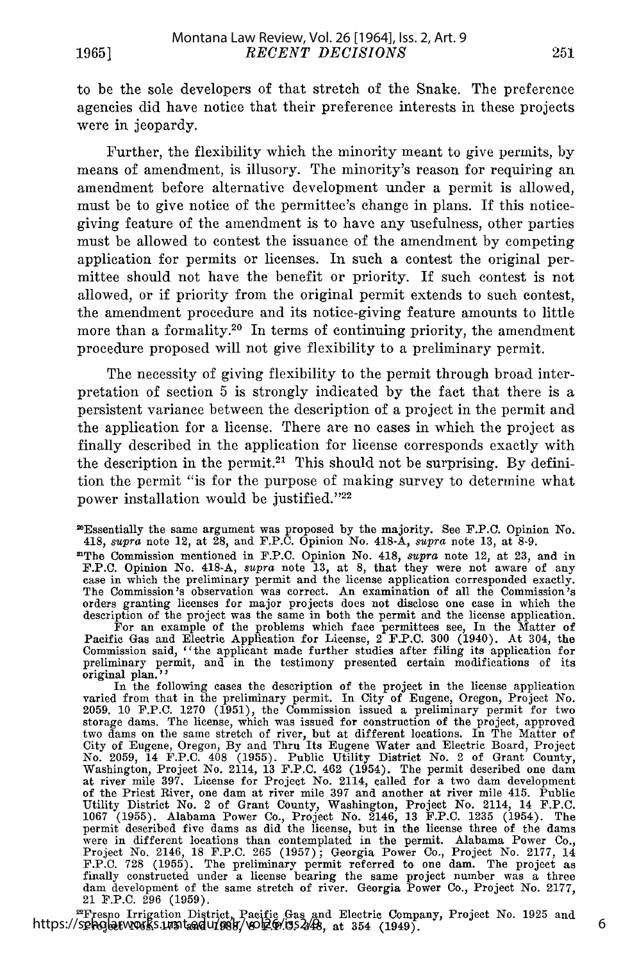to be the sole developers of that stretch of the Snake. The preference agencies did have notice that their preference interests in these projects were in jeopardy.

Further, the flexibility which the minority meant to give permits, by means of amendment, is illusory. The minority's reason for requiring an amendment before alternative development under a permit is allowed, must be to give notice of the permittee's change in plans. If this noticegiving feature of the amendment is to have any usefulness, other parties must be allowed to contest the issuance of the amendment by competing application for permits or licenses. In such a contest the original permittee should not have the benefit or priority. If such contest is not allowed, or if priority from the original permit extends to such contest, the amendment procedure and its notice-giving feature amounts to little more than a formality.<sup>20</sup> In terms of continuing priority, the amendment procedure proposed will not give flexibility to a preliminary permit.

The necessity of giving flexibility to the permit through broad interpretation of section 5 is strongly indicated by the fact that there is a persistent variance between the description of a project in the permit and the application for a license. There are no cases in which the project as finally described in the application for license corresponds exactly with the description in the permit.<sup>21</sup> This should not be surprising. By definition the permit "is for the purpose of making survey to determine what power installation would be justified."22

DEssentially the same argument was proposed by the majority. See F.P.C. Opinion No. 418, *supra* note 12, at 28, and F.P.C. Opinion No. 418-A, *supra* note 13, at 8-9.

'The Commission mentioned in F.P.C. Opinion No. 418, *supra* note 12, at 23, and in F.P.C. Opinion No. 418-A, *supra* note 13, at 8, that they were not aware of any case in which the preliminary permit and the license application corresponded exactly. The Commission's observation was correct. An examination of all the Commission's orders granting licenses for major projects does not disclose one case in which the

description of the project was the same in both the permit and the license application<br>For an example of the problems which face permittees see, In the Matter of<br>Pacific Gas and Electric Application for License, 2 F.P.C. 3 Commission said, ''the applicant made further studies after filing its application for preliminary permit, and in the testimony presented certain modifications of its original plan."

original plan."<br>In the following cases the description of the project in the license application<br>varied from that in the preliminary permit. In City of Eugene, Oregon, Project No.<br>2059. 10 F.P.C. 1270 (1951), the Commissio storage dams. The license, which was issued for construction of the project, approved<br>two dams on the same stretch of river, but at different locations. In The Matter of<br>City of Eugene, Oregon, By and Thru Its Eugene Water Washington, Project No. 2114, 13 F.P.C. 462 (1954). The permit described one dam at river mile 397. License for Project No. 2114, called for a two dam development of the Priest River, one dam at river mile 397 and another at river mile 415. Public<br>Utility District No. 2 of Grant County, Washington, Project No. 2114, 14 F.P.C.<br>1067 (1955). Alabama Power Co., Project No. 2146, 13 F.P. permit described five dams as did the license, but in the license three of the dams were in different locations than contemplated in the permit. Alabama Power Co., Project No. 2146, 18 F.P.C. 265 (1957); Georgia Power Co., Project No. 2177, 14<br>F.P.C. 728 (1955). The preliminary permit referred to one dam. The project as<br>finally constructed under a license bearing the same project num dam development of the same stretch of river. Georgia Power Co., Project No. 2177, 21 F.P.C. 296 (1959).

2Fresno Irrigation District, Pacific Gas and Electric Company, Project No. 1925 and Project Nos. 175 and 1988, 8 F.P.C. 348, at 354 (1949). https://scholarworks.umt.edu/mlr/vol26/iss2/9

6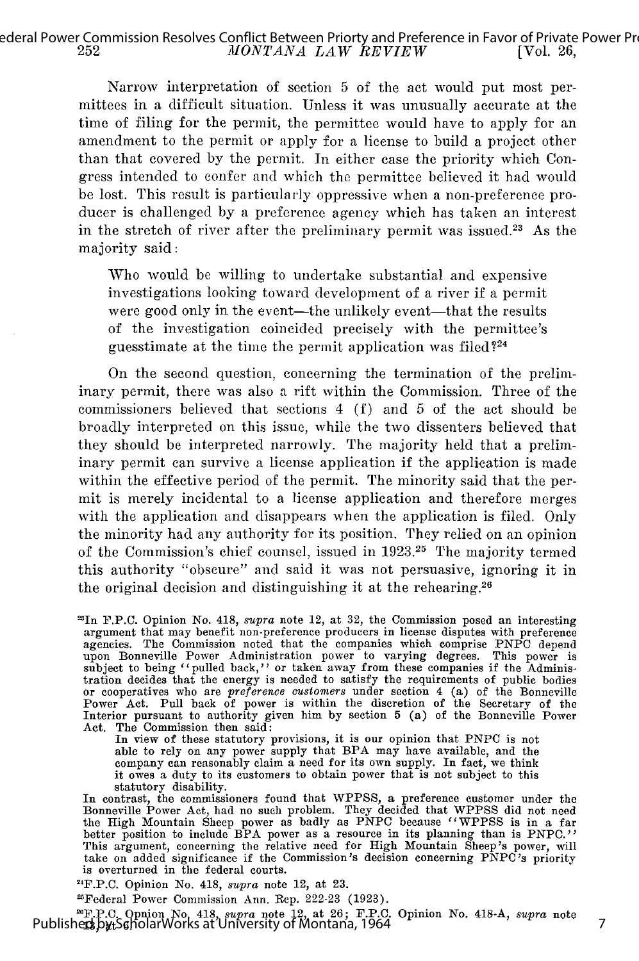### *MONTANA LAW REVIEW* [Vol. **26,** ederal Power Commission Resolves Conflict Between Priorty and Preference in Favor of Private Power Pr<br>252 MONTANA LAW REVIEW [Vol. 26

Narrow interpretation of section 5 of the act would put most permittees in a difficult situation. Unless it was unusually accurate at the time of filing for the permit, the permittee would have to apply for an amendment to the permit or apply for a license to build a project other than that covered by the permit. In either case the priority which Congress intended to confer and which the permittee believed it had would be lost. This result is particularly oppressive when a non-preference producer is challenged by a preference agency which has taken an interest in the stretch of river after the preliminary permit was issued.<sup>23</sup> As the majority said:

Who would be willing to undertake substantial and expensive investigations looking toward development of a river if a permit were good only in the event—the unlikely event—that the results of the investigation coincided precisely with the permittee's guesstimate at the time the permit application was filed?<sup>24</sup>

On the second question, concerning the termination of the preliminary permit, there was also a rift within the Commission. Three of the commissioners believed that sections 4 (f) and 5 of the act should be broadly interpreted on this issue, while the two dissenters believed that they should be interpreted narrowly. The majority held that a preliminary permit can survive a license application if the application is made within the effective period of the permit. The minority said that the permit is merely incidental to a license application and therefore merges with the application and disappears when the application is filed. Only the minority had any authority for its position. They relied on an opinion of the Commission's chief counsel, issued in **1923.25** The majority termed this authority "obscure" and said it was not persuasive, ignoring it in the original decision and distinguishing it at the rehearing.<sup>26</sup>

In view of these statutory provisions, it is our opinion that PNPC is no able to rely on any power supply that BPA may have available, and the company can reasonably claim a need for its own supply. In fact, we think it owes a duty to its customers to obtain power that is not subject to this statutory disability.

In contrast, the commissioners found that WPPSS, a preference customer under the Bonneville Power Act, had no such problem. They decided that WPPSS did not need the High Mountain Sheep power as badly as PNPC because "WPPSS is in a far better position to include BPA power as a resource in its planning than is PNPC.'<br>This argument, concerning the relative need for High Mountain Sheep's power, wil<br>take on added significance if the Commission's decision con is overturned in the federal courts.

n4F.P.C. Opinion No. 418, *supra* note 12, at 23.

'Federal Power Commission Ann. Rep. 222-23 (1923).

"F.P.C. Opnion No. 418, *supra* note 12, at 26; P.P.C. Opinion No. 418-A, *supra* note Publishers by ScholarWorks at University of Montana, 1964

<sup>&</sup>quot;In **F.P.C.** Opinion No. 418, *supra* note 12, at **32,** the Commission posed an interesting argument that may benefit non-preference producers in license disputes with preference agencies. The Commission noted that the companies which comprise PNPC depend upon Bonneville Power Administration power to varying degrees. This power is<br>subject to being "pulled back," or taken away from these companies if the Adminis-<br>tration decides that the energy is needed to satisfy the requi or cooperatives who are *preference customers* under section 4 (a) of the Bonneville<br>Power Act. Pull back of power is within the discretion of the Secretary of the<br>Interior pursuant to authority given him by section 5 (a) Act. The Commission then said: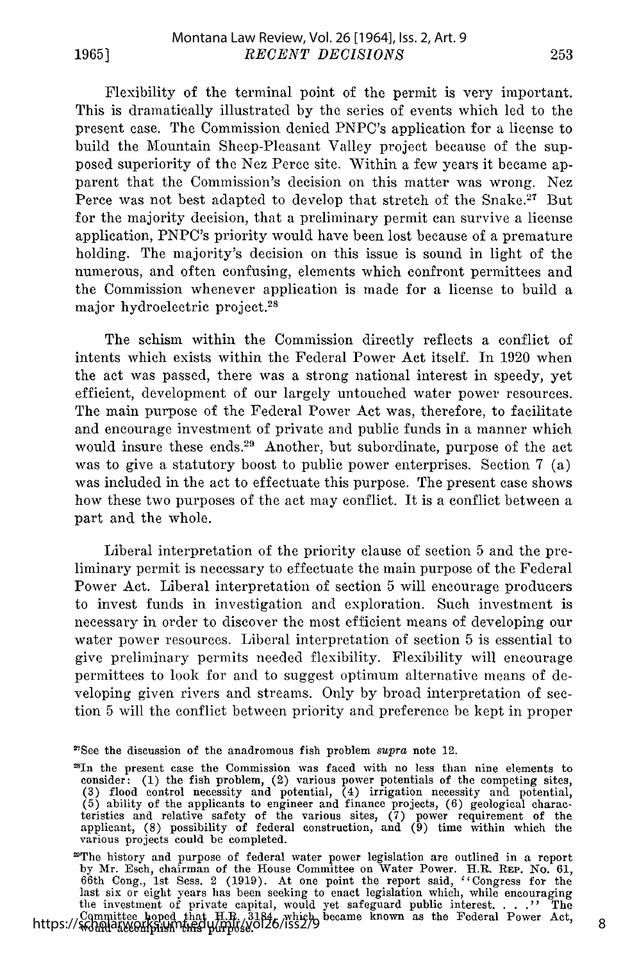**1965]**

Flexibility of the terminal point of the permit is very important. This is dramatically illustrated by the series of events which led to the present case. The Commission denied PNPC's application for a license to build the Mountain Sheep-Pleasant Valley project because of the supposed superiority of the Nez Perce site. Within a few years it became apparent that the Commission's decision on this matter was wrong. Nez Perce was not best adapted to develop that stretch of the Snake.<sup>27</sup> But for the majority decision, that a preliminary permit can survive a license application, PNPC's priority would have been lost because of a premature holding. The majority's decision on this issue is sound in light of the numerous, and often confusing, elements which confront permittees and the Commission whenever application is made for a license to build a major hydroelectric project.<sup>28</sup>

The schism within the Commission directly reflects a conflict of intents which exists within the Federal Power Act itself. In 1920 when the act was passed, there was a strong national interest in speedy, yet efficient, development of our largely untouched water power resources. The main purpose of the Federal Power Act was, therefore, to facilitate and encourage investment of private and public funds in a manner which would insure these ends.<sup>29</sup> Another, but subordinate, purpose of the act was to give a statutory boost to public power enterprises. Section 7 (a) was included in the act to effectuate this purpose. The present case shows how these two purposes of the act may conflict. It is a conflict between a part and the whole.

Liberal interpretation of the priority clause of section 5 and the preliminary permit is necessary to effectuate the main purpose of the Federal Power Act. Liberal interpretation of section 5 will encourage producers to invest funds in investigation and exploration. Such investment is necessary in order to discover the most efficient means of developing our water power resources. Liberal interpretation of section 5 is essential to give preliminary permits needed flexibility. Flexibility will encourage permittees to look for and to suggest optimum alternative means of developing given rivers and streams. Only by broad interpretation of section 5 will the conflict between priority and preference be kept in proper

8

<sup>27</sup>See the discussion of the anadromous fish problem *supra* note 12.

<sup>18</sup>in the present case the Commission was faced with no less than nine elements to consider: (1) the fish problem, (2) various power potentials of the competing sites (3) flood control necessity and potential,  $(4)$  irrigation necessity and potential $(5)$  ability of the applicants to engineer and finance projects,  $(6)$  geological characteristics and relative safety of the various sites, (7) power requirement of the applicant, (8) possibility of federal construction, and (9) time within which the various projects could be completed.

<sup>&</sup>lt;sup>29</sup>The history and purpose of federal water power legislation are outlined in a report by Mr. Esch, chairman of the House Committee on Water Power. H.R. REP. No. 61 66th Cong., 1st Sess. 2 (1919). At one point the report the investment of private capital, would yet safeguard public interest. . . **."** The Committee hoped that H.R. 3184, which became known as the Federal Power Act, would accomplish this purpose. https://scholarworks.umt.edu/mlr/vol26/iss2/9